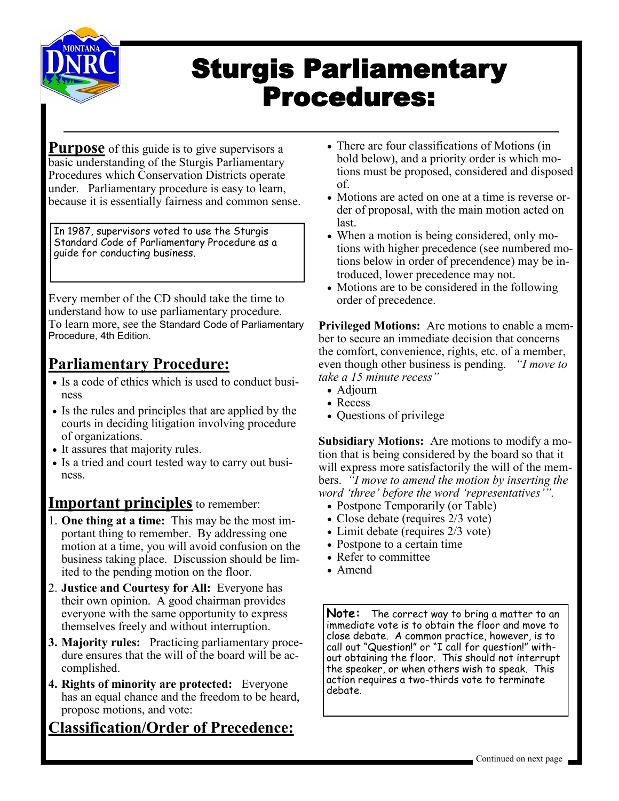

# Sturgis Parliamentary Procedures:

**Purpose** of this guide is to give supervisors a basic understanding of the Sturgis Parliamentary Procedures which Conservation Districts operate under. Parliamentary procedure is easy to learn, because it is essentially fairness and common sense.

In 1987, supervisors voted to use the Sturgis Standard Code of Parliamentary Procedure as a guide for conducting business.

Every member of the CD should take the time to understand how to use parliamentary procedure. To learn more, see the Standard Code of Parliamentary Procedure, 4th Edition.

#### **Parliamentary Procedure:**

- Is a code of ethics which is used to conduct business
- Is the rules and principles that are applied by the courts in deciding litigation involving procedure of organizations.
- It assures that majority rules.
- Is a tried and court tested way to carry out business.

#### **Important principles** to remember:

- 1. **One thing at a time:** This may be the most important thing to remember. By addressing one motion at a time, you will avoid confusion on the business taking place. Discussion should be limited to the pending motion on the floor.
- 2. **Justice and Courtesy for All:** Everyone has their own opinion. A good chairman provides everyone with the same opportunity to express themselves freely and without interruption.
- **3. Majority rules:** Practicing parliamentary procedure ensures that the will of the board will be accomplished.
- **4. Rights of minority are protected:** Everyone has an equal chance and the freedom to be heard, propose motions, and vote:

#### **Classification/Order of Precedence:**

- There are four classifications of Motions (in bold below), and a priority order is which motions must be proposed, considered and disposed of.
- Motions are acted on one at a time is reverse order of proposal, with the main motion acted on last.
- When a motion is being considered, only motions with higher precedence (see numbered motions below in order of precendence) may be introduced, lower precedence may not.
- Motions are to be considered in the following order of precedence.

**Privileged Motions:** Are motions to enable a member to secure an immediate decision that concerns the comfort, convenience, rights, etc. of a member, even though other business is pending. *"I move to take a 15 minute recess"*

- Adjourn
- Recess
- Questions of privilege

**Subsidiary Motions:** Are motions to modify a motion that is being considered by the board so that it will express more satisfactorily the will of the members. *"I move to amend the motion by inserting the word 'three' before the word 'representatives'".*

- Postpone Temporarily (or Table)
- Close debate (requires 2/3 vote)
- Limit debate (requires 2/3 vote)
- Postpone to a certain time
- Refer to committee
- Amend

**Note:** The correct way to bring a matter to an immediate vote is to obtain the floor and move to close debate. A common practice, however, is to call out "Question!" or "I call for question!" without obtaining the floor. This should not interrupt the speaker, or when others wish to speak. This action requires a two-thirds vote to terminate debate.